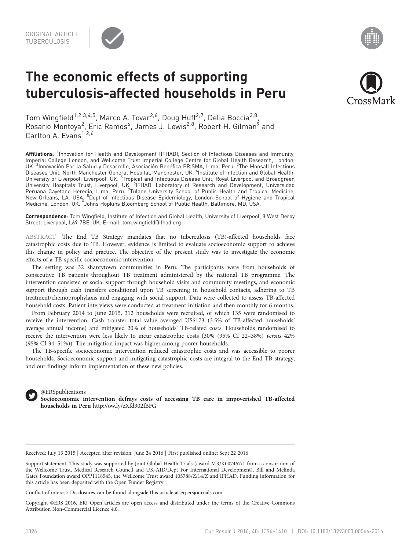

# The economic effects of supporting tuberculosis-affected households in Peru



Tom Wingfield<sup>1,2,3,4,5</sup>, Marco A. Tovar<sup>2,6</sup>, Doug Huff<sup>2,7</sup>, Delia Boccia<sup>2,8</sup>, Rosario Montoya<sup>2</sup>, Eric Ramos<sup>6</sup>, James J. Lewis<sup>2,8</sup>, Robert H. Gilman<sup>9</sup> and Carlton A.  $Fvans<sup>1,2,6</sup>$ 

Affiliations: <sup>1</sup>Innovation for Health and Development (IFHAD), Section of Infectious Diseases and Immunity, Imperial College London, and Wellcome Trust Imperial College Centre for Global Health Research, London, UK. <sup>2</sup>Innovación Por la Salud y Desarrollo, Asociación Benéfica PRISMA, Lima, Perú. <sup>3</sup>The Monsall Infectious Diseases Unit, North Manchester General Hospital, Manchester, UK. <sup>4</sup>Institute of Infection and Global Health, University of Liverpool, Liverpool, UK. <sup>5</sup>Tropical and Infectious Disease Unit, Royal Liverpool and Broadgreen University Hospitals Trust, Liverpool, UK. <sup>6</sup>IFHAD, Laboratory of Research and Development, Universidad Peruana Cayetano Heredia, Lima, Peru. <sup>7</sup>Tulane University School of Public Health and Tropical Medicine, New Orleans, LA, USA. <sup>8</sup>Dept of Infectious Disease Epidemiology, London School of Hygiene and Tropical Medicine, London, UK. <sup>9</sup>Johns Hopkins Bloomberg School of Public Health, Baltimore, MD, USA.

Correspondence: Tom Wingfield, Institute of Infection and Global Health, University of Liverpool, 8 West Derby Street, Liverpool, L69 7BE, UK. E-mail: [tom.wingfield@ifhad.org](mailto:tom.wingfield@ifhad.org)

ABSTRACT The End TB Strategy mandates that no tuberculosis (TB)-affected households face catastrophic costs due to TB. However, evidence is limited to evaluate socioeconomic support to achieve this change in policy and practice. The objective of the present study was to investigate the economic effects of a TB-specific socioeconomic intervention.

The setting was 32 shantytown communities in Peru. The participants were from households of consecutive TB patients throughout TB treatment administered by the national TB programme. The intervention consisted of social support through household visits and community meetings, and economic support through cash transfers conditional upon TB screening in household contacts, adhering to TB treatment/chemoprophylaxis and engaging with social support. Data were collected to assess TB-affected household costs. Patient interviews were conducted at treatment initiation and then monthly for 6 months.

From February 2014 to June 2015, 312 households were recruited, of which 135 were randomised to receive the intervention. Cash transfer total value averaged US\$173 (3.5% of TB-affected households' average annual income) and mitigated 20% of households' TB-related costs. Households randomised to receive the intervention were less likely to incur catastrophic costs (30% (95% CI 22–38%) versus 42% (95% CI 34–51%)). The mitigation impact was higher among poorer households.

The TB-specific socioeconomic intervention reduced catastrophic costs and was accessible to poorer households. Socioeconomic support and mitigating catastrophic costs are integral to the End TB strategy, and our findings inform implementation of these new policies.



@ERSpublications Socioeconomic intervention defrays costs of accessing TB care in impoverished TB-affected households in Peru <http://ow.ly/zXfd302fBFG>

Received: July 13 2015 | Accepted after revision: June 24 2016 | First published online: Sept 22 2016

Support statement: This study was supported by Joint Global Health Trials (award MR/K007467/1 from a consortium of the Wellcome Trust, Medical Research Council and UK-AID/Dept For International Development), Bill and Melinda Gates Foundation award OPP1118545, the Wellcome Trust award 105788/Z/14/Z and IFHAD. Funding information for this article has been deposited with the [Open Funder Registry.](http://www.crossref.org/fundingdata/)

Conflict of interest: Disclosures can be found alongside this article at<erj.ersjournals.com>

Copyright ©ERS 2016. ERJ Open articles are open access and distributed under the terms of the Creative Commons Attribution Non-Commercial Licence 4.0.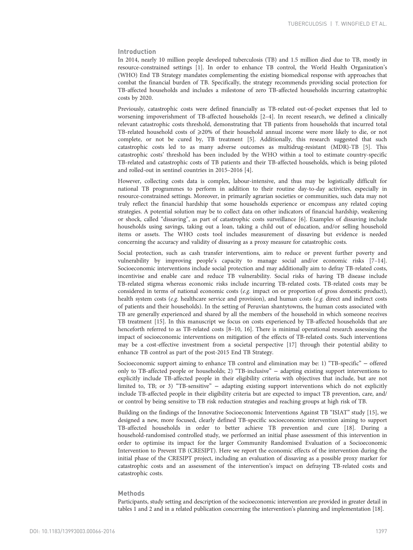# Introduction

In 2014, nearly 10 million people developed tuberculosis (TB) and 1.5 million died due to TB, mostly in resource-constrained settings [[1](#page-13-0)]. In order to enhance TB control, the World Health Organization's (WHO) End TB Strategy mandates complementing the existing biomedical response with approaches that combat the financial burden of TB. Specifically, the strategy recommends providing social protection for TB-affected households and includes a milestone of zero TB-affected households incurring catastrophic costs by 2020.

Previously, catastrophic costs were defined financially as TB-related out-of-pocket expenses that led to worsening impoverishment of TB-affected households [\[2](#page-13-0)–[4\]](#page-13-0). In recent research, we defined a clinically relevant catastrophic costs threshold, demonstrating that TB patients from households that incurred total TB-related household costs of  $\geqslant$  20% of their household annual income were more likely to die, or not complete, or not be cured by, TB treatment [[5\]](#page-13-0). Additionally, this research suggested that such catastrophic costs led to as many adverse outcomes as multidrug-resistant (MDR)-TB [[5](#page-13-0)]. This catastrophic costs' threshold has been included by the WHO within a tool to estimate country-specific TB-related and catastrophic costs of TB patients and their TB-affected households, which is being piloted and rolled-out in sentinel countries in 2015–2016 [[4\]](#page-13-0).

However, collecting costs data is complex, labour-intensive, and thus may be logistically difficult for national TB programmes to perform in addition to their routine day-to-day activities, especially in resource-constrained settings. Moreover, in primarily agrarian societies or communities, such data may not truly reflect the financial hardship that some households experience or encompass any related coping strategies. A potential solution may be to collect data on other indicators of financial hardship, weakening or shock, called "dissaving", as part of catastrophic costs surveillance [[6](#page-13-0)]. Examples of dissaving include households using savings, taking out a loan, taking a child out of education, and/or selling household items or assets. The WHO costs tool includes measurement of dissaving but evidence is needed concerning the accuracy and validity of dissaving as a proxy measure for catastrophic costs.

Social protection, such as cash transfer interventions, aim to reduce or prevent further poverty and vulnerability by improving people's capacity to manage social and/or economic risks [[7](#page-13-0)–[14](#page-14-0)]. Socioeconomic interventions include social protection and may additionally aim to defray TB-related costs, incentivise and enable care and reduce TB vulnerability. Social risks of having TB disease include TB-related stigma whereas economic risks include incurring TB-related costs. TB-related costs may be considered in terms of national economic costs (e.g. impact on or proportion of gross domestic product), health system costs (e.g. healthcare service and provision), and human costs (e.g. direct and indirect costs of patients and their households). In the setting of Peruvian shantytowns, the human costs associated with TB are generally experienced and shared by all the members of the household in which someone receives TB treatment [[15](#page-14-0)]. In this manuscript we focus on costs experienced by TB-affected households that are henceforth referred to as TB-related costs [\[8](#page-14-0)–[10, 16\]](#page-14-0). There is minimal operational research assessing the impact of socioeconomic interventions on mitigation of the effects of TB-related costs. Such interventions may be a cost-effective investment from a societal perspective [\[17](#page-14-0)] through their potential ability to enhance TB control as part of the post-2015 End TB Strategy.

Socioeconomic support aiming to enhance TB control and elimination may be: 1) "TB-specific" − offered only to TB-affected people or households; 2) "TB-inclusive" − adapting existing support interventions to explicitly include TB-affected people in their eligibility criteria with objectives that include, but are not limited to, TB; or 3) "TB-sensitive" − adapting existing support interventions which do not explicitly include TB-affected people in their eligibility criteria but are expected to impact TB prevention, care, and/ or control by being sensitive to TB risk reduction strategies and reaching groups at high risk of TB.

Building on the findings of the Innovative Socioeconomic Interventions Against TB "ISIAT" study [\[15](#page-14-0)], we designed a new, more focused, clearly defined TB-specific socioeconomic intervention aiming to support TB-affected households in order to better achieve TB prevention and cure [\[18\]](#page-14-0). During a household-randomised controlled study, we performed an initial phase assessment of this intervention in order to optimise its impact for the larger Community Randomised Evaluation of a Socioeconomic Intervention to Prevent TB (CRESIPT). Here we report the economic effects of the intervention during the initial phase of the CRESIPT project, including an evaluation of dissaving as a possible proxy marker for catastrophic costs and an assessment of the intervention's impact on defraying TB-related costs and catastrophic costs.

#### **Methods**

Participants, study setting and description of the socioeconomic intervention are provided in greater detail in [tables 1](#page-2-0) and [2](#page-3-0) and in a related publication concerning the intervention's planning and implementation [\[18\]](#page-14-0).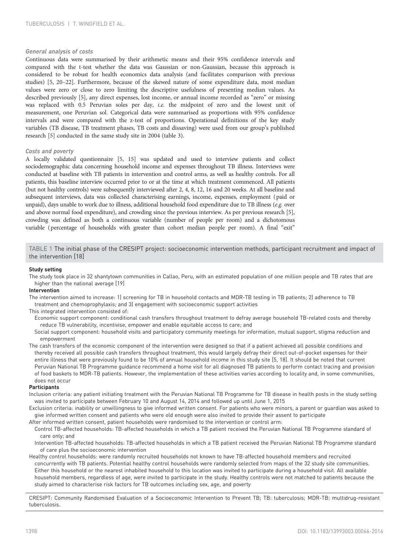## <span id="page-2-0"></span>General analysis of costs

Continuous data were summarised by their arithmetic means and their 95% confidence intervals and compared with the t-test whether the data was Gaussian or non-Gaussian, because this approach is considered to be robust for health economics data analysis (and facilitates comparison with previous studies) [\[5,](#page-13-0) [20](#page-14-0)–[22](#page-14-0)]. Furthermore, because of the skewed nature of some expenditure data, most median values were zero or close to zero limiting the descriptive usefulness of presenting median values. As described previously [\[5\]](#page-13-0), any direct expenses, lost income, or annual income recorded as "zero" or missing was replaced with 0.5 Peruvian soles per day, i.e. the midpoint of zero and the lowest unit of measurement, one Peruvian sol. Categorical data were summarised as proportions with 95% confidence intervals and were compared with the z-test of proportions. Operational definitions of the key study variables (TB disease, TB treatment phases, TB costs and dissaving) were used from our group's published research [\[5](#page-13-0)] conducted in the same study site in 2004 ([table 3\)](#page-4-0).

# Costs and poverty

A locally validated questionnaire [\[5,](#page-13-0) [15](#page-14-0)] was updated and used to interview patients and collect sociodemographic data concerning household income and expenses throughout TB illness. Interviews were conducted at baseline with TB patients in intervention and control arms, as well as healthy controls. For all patients, this baseline interview occurred prior to or at the time at which treatment commenced. All patients (but not healthy controls) were subsequently interviewed after 2, 4, 8, 12, 16 and 20 weeks. At all baseline and subsequent interviews, data was collected characterising earnings, income, expenses, employment (paid or unpaid), days unable to work due to illness, additional household food expenditure due to TB illness (e.g. over and above normal food expenditure), and crowding since the previous interview. As per previous research [\[5](#page-13-0)], crowding was defined as both a continuous variable (number of people per room) and a dichotomous variable (percentage of households with greater than cohort median people per room). A final "exit"

TABLE 1 The initial phase of the CRESIPT project: socioeconomic intervention methods, participant recruitment and impact of the intervention [18]

## Study setting

The study took place in 32 shantytown communities in Callao, Peru, with an estimated population of one million people and TB rates that are higher than the national average [19]

#### Intervention

The intervention aimed to increase: 1) screening for TB in household contacts and MDR-TB testing in TB patients; 2) adherence to TB treatment and chemoprophylaxis; and 3) engagement with socioeconomic support activities

## This integrated intervention consisted of:

- Economic support component: conditional cash transfers throughout treatment to defray average household TB-related costs and thereby reduce TB vulnerability, incentivise, empower and enable equitable access to care; and
- Social support component: household visits and participatory community meetings for information, mutual support, stigma reduction and empowerment

The cash transfers of the economic component of the intervention were designed so that if a patient achieved all possible conditions and thereby received all possible cash transfers throughout treatment, this would largely defray their direct out-of-pocket expenses for their entire illness that were previously found to be 10% of annual household income in this study site [5, 18]. It should be noted that current Peruvian National TB Programme guidance recommend a home visit for all diagnosed TB patients to perform contact tracing and provision of food baskets to MDR-TB patients. However, the implementation of these activities varies according to locality and, in some communities, does not occur

#### Participants

Inclusion criteria: any patient initiating treatment with the Peruvian National TB Programme for TB disease in health posts in the study setting was invited to participate between February 10 and August 14, 2014 and followed up until June 1, 2015

Exclusion criteria: inability or unwillingness to give informed written consent. For patients who were minors, a parent or guardian was asked to give informed written consent and patients who were old enough were also invited to provide their assent to participate

After informed written consent, patient households were randomised to the intervention or control arm: Control TB-affected households: TB-affected households in which a TB patient received the Peruvian National TB Programme standard of care only; and

Intervention TB-affected households: TB-affected households in which a TB patient received the Peruvian National TB Programme standard of care plus the socioeconomic intervention

Healthy control households: were randomly recruited households not known to have TB-affected household members and recruited concurrently with TB patients. Potential healthy control households were randomly selected from maps of the 32 study site communities. Either this household or the nearest inhabited household to this location was invited to participate during a household visit. All available household members, regardless of age, were invited to participate in the study. Healthy controls were not matched to patients because the study aimed to characterise risk factors for TB outcomes including sex, age, and poverty

CRESIPT: Community Randomised Evaluation of a Socioeconomic Intervention to Prevent TB; TB: tuberculosis; MDR-TB: multidrug-resistant tuberculosis.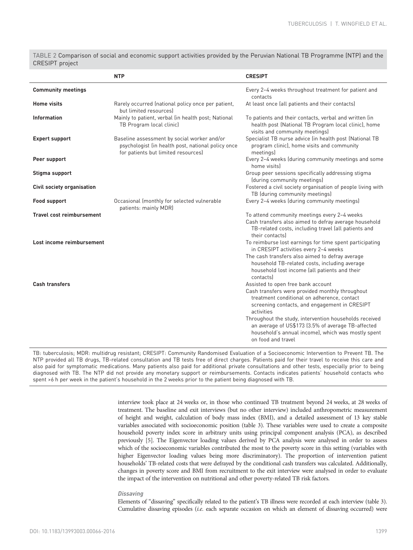<span id="page-3-0"></span>TABLE 2 Comparison of social and economic support activities provided by the Peruvian National TB Programme (NTP) and the CRESIPT project

|                                  | <b>NTP</b>                                                                                                                               | <b>CRESIPT</b>                                                                                                                                                                           |
|----------------------------------|------------------------------------------------------------------------------------------------------------------------------------------|------------------------------------------------------------------------------------------------------------------------------------------------------------------------------------------|
| <b>Community meetings</b>        |                                                                                                                                          | Every 2-4 weeks throughout treatment for patient and<br>contacts                                                                                                                         |
| <b>Home visits</b>               | Rarely occurred (national policy once per patient,<br>but limited resources)                                                             | At least once (all patients and their contacts)                                                                                                                                          |
| <b>Information</b>               | Mainly to patient, verbal (in health post; National<br>TB Program local clinic)                                                          | To patients and their contacts, verbal and written (in<br>health post (National TB Program local clinic), home<br>visits and community meetings)                                         |
| <b>Expert support</b>            | Baseline assessment by social worker and/or<br>psychologist (in health post, national policy once<br>for patients but limited resources) | Specialist TB nurse advice (in health post (National TB<br>program clinic), home visits and community<br>meetings)                                                                       |
| Peer support                     |                                                                                                                                          | Every 2-4 weeks (during community meetings and some<br>home visits)                                                                                                                      |
| Stigma support                   |                                                                                                                                          | Group peer sessions specifically addressing stigma<br>(during community meetings)                                                                                                        |
| Civil society organisation       |                                                                                                                                          | Fostered a civil society organisation of people living with<br>TB (during community meetings)                                                                                            |
| Food support                     | Occasional (monthly for selected vulnerable<br>patients: mainly MDR)                                                                     | Every 2-4 weeks (during community meetings)                                                                                                                                              |
| <b>Travel cost reimbursement</b> |                                                                                                                                          | To attend community meetings every 2-4 weeks                                                                                                                                             |
|                                  |                                                                                                                                          | Cash transfers also aimed to defray average household<br>TB-related costs, including travel (all patients and<br>their contacts)                                                         |
| Lost income reimbursement        |                                                                                                                                          | To reimburse lost earnings for time spent participating<br>in CRESIPT activities every 2-4 weeks                                                                                         |
|                                  |                                                                                                                                          | The cash transfers also aimed to defray average<br>household TB-related costs, including average<br>household lost income (all patients and their<br>contacts                            |
| <b>Cash transfers</b>            |                                                                                                                                          | Assisted to open free bank account                                                                                                                                                       |
|                                  |                                                                                                                                          | Cash transfers were provided monthly throughout<br>treatment conditional on adherence, contact<br>screening contacts, and engagement in CRESIPT<br>activities                            |
|                                  |                                                                                                                                          | Throughout the study, intervention households received<br>an average of US\$173 (3.5% of average TB-affected<br>household's annual income), which was mostly spent<br>on food and travel |

TB: tuberculosis; MDR: multidrug resistant; CRESIPT: Community Randomised Evaluation of a Socioeconomic Intervention to Prevent TB. The NTP provided all TB drugs, TB-related consultation and TB tests free of direct charges. Patients paid for their travel to receive this care and also paid for symptomatic medications. Many patients also paid for additional private consultations and other tests, especially prior to being diagnosed with TB. The NTP did not provide any monetary support or reimbursements. Contacts indicates patients' household contacts who spent >6 h per week in the patient's household in the 2 weeks prior to the patient being diagnosed with TB.

> interview took place at 24 weeks or, in those who continued TB treatment beyond 24 weeks, at 28 weeks of treatment. The baseline and exit interviews (but no other interview) included anthropometric measurement of height and weight, calculation of body mass index (BMI), and a detailed assessment of 13 key stable variables associated with socioeconomic position ([table 3](#page-4-0)). These variables were used to create a composite household poverty index score in arbitrary units using principal component analysis (PCA), as described previously [\[5](#page-13-0)]. The Eigenvector loading values derived by PCA analysis were analysed in order to assess which of the socioeconomic variables contributed the most to the poverty score in this setting (variables with higher Eigenvector loading values being more discriminatory). The proportion of intervention patient households' TB-related costs that were defrayed by the conditional cash transfers was calculated. Additionally, changes in poverty score and BMI from recruitment to the exit interview were analysed in order to evaluate the impact of the intervention on nutritional and other poverty-related TB risk factors.

## **Dissaving**

Elements of "dissaving" specifically related to the patient's TB illness were recorded at each interview [\(table 3](#page-4-0)). Cumulative dissaving episodes (i.e. each separate occasion on which an element of dissaving occurred) were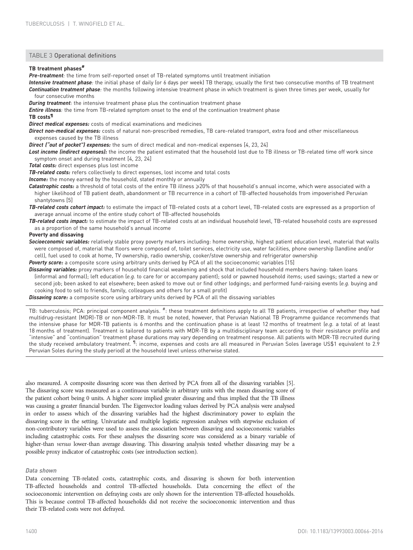## <span id="page-4-0"></span>TABLE 3 Operational definitions

# TB treatment phases<sup>#</sup>

Pre-treatment: the time from self-reported onset of TB-related symptoms until treatment initiation

Intensive treatment phase: the initial phase of daily (or 6 days per week) TB therapy, usually the first two consecutive months of TB treatment Continuation treatment phase: the months following intensive treatment phase in which treatment is given three times per week, usually for four consecutive months

**During treatment:** the intensive treatment phase plus the continuation treatment phase

**Entire illness**: the time from TB-related symptom onset to the end of the continuation treatment phase

#### TB costs¶

Direct medical expenses: costs of medical examinations and medicines

Direct non-medical expenses: costs of natural non-prescribed remedies, TB care-related transport, extra food and other miscellaneous expenses caused by the TB illness

Direct ("out of pocket") expenses: the sum of direct medical and non-medical expenses [4, 23, 24]

Lost income (indirect expenses): the income the patient estimated that the household lost due to TB illness or TB-related time off work since symptom onset and during treatment [4, 23, 24]

Total costs: direct expenses plus lost income

TB-related costs: refers collectively to direct expenses, lost income and total costs

Income: the money earned by the household, stated monthly or annually

Catastrophic costs: a threshold of total costs of the entire TB illness  $\geq$ 20% of that household's annual income, which were associated with a higher likelihood of TB patient death, abandonment or TB recurrence in a cohort of TB-affected households from impoverished Peruvian shantytowns [5]

TB-related costs cohort impact: to estimate the impact of TB-related costs at a cohort level, TB-related costs are expressed as a proportion of average annual income of the entire study cohort of TB-affected households

TB-related costs impact: to estimate the impact of TB-related costs at an individual household level, TB-related household costs are expressed as a proportion of the same household's annual income

#### Poverty and dissaving

Socioeconomic variables: relatively stable proxy poverty markers including: home ownership, highest patient education level, material that walls were composed of, material that floors were composed of, toilet services, electricity use, water facilities, phone ownership (landline and/or cell), fuel used to cook at home, TV ownership, radio ownership, cooker/stove ownership and refrigerator ownership

Poverty score: a composite score using arbitrary units derived by PCA of all the socioeconomic variables [15]

Dissaving variables: proxy markers of household financial weakening and shock that included household members having: taken loans (informal and formal); left education (e.g. to care for or accompany patient); sold or pawned household items; used savings; started a new or second job; been asked to eat elsewhere; been asked to move out or find other lodgings; and performed fund-raising events (e.g. buying and cooking food to sell to friends, family, colleagues and others for a small profit)

Dissaving score: a composite score using arbitrary units derived by PCA of all the dissaving variables

TB: tuberculosis; PCA: principal component analysis. <sup>#</sup>: these treatment definitions apply to all TB patients, irrespective of whether they had multidrug-resistant (MDR)-TB or non-MDR-TB. It must be noted, however, that Peruvian National TB Programme guidance recommends that the intensive phase for MDR-TB patients is 6 months and the continuation phase is at least 12 months of treatment (e.g. a total of at least 18 months of treatment). Treatment is tailored to patients with MDR-TB by a multidisciplinary team according to their resistance profile and "intensive" and "continuation" treatment phase durations may vary depending on treatment response. All patients with MDR-TB recruited during the study received ambulatory treatment. <sup>¶</sup>: income, expenses and costs are all measured in Peruvian Soles (average US\$1 equivalent to 2.9 Peruvian Soles during the study period) at the household level unless otherwise stated.

also measured. A composite dissaving score was then derived by PCA from all of the dissaving variables [\[5](#page-13-0)]. The dissaving score was measured as a continuous variable in arbitrary units with the mean dissaving score of the patient cohort being 0 units. A higher score implied greater dissaving and thus implied that the TB illness was causing a greater financial burden. The Eigenvector loading values derived by PCA analysis were analysed in order to assess which of the dissaving variables had the highest discriminatory power to explain the dissaving score in the setting. Univariate and multiple logistic regression analyses with stepwise exclusion of non-contributory variables were used to assess the association between dissaving and socioeconomic variables including catastrophic costs. For these analyses the dissaving score was considered as a binary variable of higher-than versus lower-than average dissaving. This dissaving analysis tested whether dissaving may be a possible proxy indicator of catastrophic costs (see introduction section).

## Data shown

Data concerning TB-related costs, catastrophic costs, and dissaving is shown for both intervention TB-affected households and control TB-affected households. Data concerning the effect of the socioeconomic intervention on defraying costs are only shown for the intervention TB-affected households. This is because control TB-affected households did not receive the socioeconomic intervention and thus their TB-related costs were not defrayed.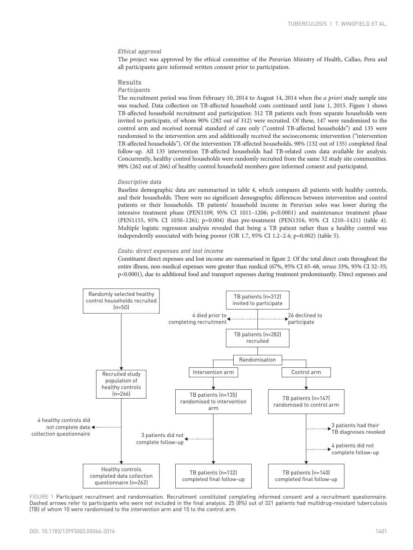# Ethical approval

The project was approved by the ethical committee of the Peruvian Ministry of Health, Callao, Peru and all participants gave informed written consent prior to participation.

#### Results

## **Participants**

The recruitment period was from February 10, 2014 to August 14, 2014 when the *a priori* study sample size was reached. Data collection on TB-affected household costs continued until June 1, 2015. Figure 1 shows TB-affected household recruitment and participation: 312 TB patients each from separate households were invited to participate, of whom 90% (282 out of 312) were recruited. Of these, 147 were randomised to the control arm and received normal standard of care only ("control TB-affected households") and 135 were randomised to the intervention arm and additionally received the socioeconomic intervention ("intervention TB-affected households"). Of the intervention TB-affected households, 98% (132 out of 135) completed final follow-up. All 135 intervention TB-affected households had TB-related costs data available for analysis. Concurrently, healthy control households were randomly recruited from the same 32 study site communities. 98% (262 out of 266) of healthy control household members gave informed consent and participated.

#### Descriptive data

Baseline demographic data are summarised in [table 4,](#page-6-0) which compares all patients with healthy controls, and their households. There were no significant demographic differences between intervention and control patients or their households. TB patients' household income in Peruvian soles was lower during the intensive treatment phase (PEN1109, 95% CI 1011–1206; p<0.0001) and maintenance treatment phase (PEN1155, 95% CI 1050–1261; p=0.004) than pre-treatment (PEN1316, 95% CI 1210–1421) ([table 4](#page-6-0)). Multiple logistic regression analysis revealed that being a TB patient rather than a healthy control was independently associated with being poorer (OR 1.7, 95% CI 1.2–2.4; p=0.002) [\(table 5](#page-7-0)).

## Costs: direct expenses and lost income

Constituent direct expenses and lost income are summarised in [figure 2](#page-7-0). Of the total direct costs throughout the entire illness, non-medical expenses were greater than medical (67%, 95% CI 65–68, versus 33%, 95% CI 32–35; p<0.0001), due to additional food and transport expenses during treatment predominantly. Direct expenses and



FIGURE 1 Participant recruitment and randomisation. Recruitment constituted completing informed consent and a recruitment questionnaire. Dashed arrows refer to participants who were not included in the final analysis. 25 (8%) out of 321 patients had multidrug-resistant tuberculosis (TB) of whom 10 were randomised to the intervention arm and 15 to the control arm.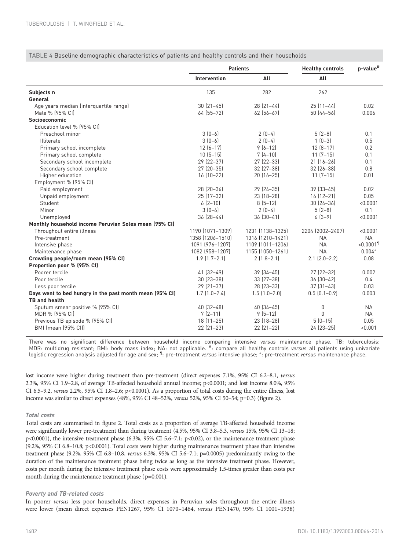<span id="page-6-0"></span>TABLE 4 Baseline demographic characteristics of patients and healthy controls and their households

|                                                         | <b>Patients</b>     |                     | <b>Healthy controls</b> | p-value <sup>#</sup>    |
|---------------------------------------------------------|---------------------|---------------------|-------------------------|-------------------------|
|                                                         | <b>Intervention</b> | All                 | All                     |                         |
| Subjects n                                              | 135                 | 282                 | 262                     |                         |
| General                                                 |                     |                     |                         |                         |
| Age years median (interquartile range)                  | $30 [21 - 45]$      | $28(21-44)$         | $25(11-44)$             | 0.02                    |
| Male % (95% CI)                                         | 64 (55-72)          | $62$ (56-67)        | $50(44 - 56)$           | 0.006                   |
| Socioeconomic                                           |                     |                     |                         |                         |
| Education level % [95% CI]                              |                     |                     |                         |                         |
| Preschool minor                                         | $3[0-6]$            | $2[0-4]$            | $5(2-8)$                | 0.1                     |
| Illiterate                                              | $3[0-6]$            | $2[0-4]$            | $1(0-3)$                | 0.5                     |
| Primary school incomplete                               | $12[6-17]$          | $9(6-12)$           | $12 [8 - 17]$           | 0.2                     |
| Primary school complete                                 | $10(5-15)$          | $7(4-10)$           | $11(7-15)$              | 0.1                     |
| Secondary school incomplete                             | 29 (22-37)          | 27 (22-33)          | $21 [16 - 26]$          | 0.1                     |
| Secondary school complete                               | 27 (20-35)          | 32 (27-38)          | 32 (26-38)              | 0.8                     |
| Higher education                                        | $16(10-22)$         | $20(16-25)$         | $11(7-15)$              | 0.01                    |
| Employment % (95% CI)                                   |                     |                     |                         |                         |
| Paid employment                                         | 28 (20-36)          | 29 (24-35)          | $39[33-45]$             | 0.02                    |
| Unpaid employment                                       | 25 (17-32)          | 23 (18-28)          | $16 [12 - 21]$          | 0.05                    |
| Student                                                 | $6[2-10]$           | $8(5-12)$           | $30[24-36]$             | < 0.0001                |
| Minor                                                   | $3[0-6]$            | $2(0-4)$            | $5(2-8)$                | 0.1                     |
| Unemployed                                              | 36 (28-44)          | $36(30-41)$         | $6(3-9)$                | < 0.0001                |
| Monthly household income Peruvian Soles mean (95% CI)   |                     |                     |                         |                         |
| Throughout entire illness                               | 1190 (1071-1309)    | 1231 (1138-1325)    | 2204 (2002-2407)        | < 0.0001                |
| Pre-treatment                                           | 1358 (1206-1510)    | 1316 (1210-1421)    | <b>NA</b>               | <b>NA</b>               |
| Intensive phase                                         | 1091 (976-1207)     | 1109 (1011-1206)    | <b>NA</b>               | $< 0.0001$ <sup>1</sup> |
| Maintenance phase                                       | 1082 (958-1207)     | 1155 (1050-1261)    | <b>NA</b>               | $0.004+$                |
| Crowding people/room mean (95% CI)                      | $1.9$ $(1.7 - 2.1)$ | $2(1.8-2.1)$        | $2.1$ $(2.0-2.2)$       | 0.08                    |
| Proportion poor % (95% CI)                              |                     |                     |                         |                         |
| Poorer tercile                                          | 41 (32-49)          | $39[34-45]$         | 27 (22-32)              | 0.002                   |
| Poor tercile                                            | $30(23-38)$         | $33[27-38]$         | $36[30-42]$             | 0.4                     |
| Less poor tercile                                       | 29 (21-37)          | 28 (23-33)          | $37[31-43]$             | 0.03                    |
| Days went to bed hungry in the past month mean (95% CI) | $1.7$ $(1.0 - 2.4)$ | $1.5$ $(1.0 - 2.0)$ | $0.5(0.1-0.9)$          | 0.003                   |
| <b>TB and health</b>                                    |                     |                     |                         |                         |
| Sputum smear positive % (95% CI)                        | 40 (32-48)          | $40(34 - 45)$       | 0                       | <b>NA</b>               |
| MDR % (95% CI)                                          | $7(2-11)$           | $9(5-12)$           | 0                       | <b>NA</b>               |
| Previous TB episode % (95% CI)                          | $18[11-25]$         | 23 (18-28)          | $5(0-15)$               | 0.05                    |
| BMI (mean (95% CI))                                     | $22$ $(21-23)$      | $22$ $[21-22]$      | 24 (23-25)              | < 0.001                 |

There was no significant difference between household income comparing intensive versus maintenance phase. TB: tuberculosis; MDR: multidrug resistant; BMI: body mass index; NA: not applicable. #: compare all healthy controls versus all patients using univariate MDR: multidrug resistant; BMI: body mass index; NA: not applicable. ": compare all healthy controls *versus* all patients using univariate<br>logistic regression analysis adjusted for age and sex; <sup>¶</sup>: pre-treatment *versus*

lost income were higher during treatment than pre-treatment (direct expenses 7.1%, 95% CI 6.2–8.1, versus 2.3%, 95% CI 1.9–2.8, of average TB-affected household annual income; p<0.0001; and lost income 8.0%, 95% CI 6.5–9.2, versus 2.2%, 95% CI 1.8–2.6; p<0.0001). As a proportion of total costs during the entire illness, lost income was similar to direct expenses (48%, 95% CI 48–52%, versus 52%, 95% CI 50–54; p=0.3) [\(figure 2](#page-7-0)).

## Total costs

Total costs are summarised in [figure 2](#page-7-0). Total costs as a proportion of average TB-affected household income were significantly lower pre-treatment than during treatment (4.5%, 95% CI 3.8–5.3, versus 15%, 95% CI 13–18; p<0.0001), the intensive treatment phase (6.3%, 95% CI 5.6–7.1; p<0.02), or the maintenance treatment phase (9.2%, 95% CI 6.8–10.8; p<0.0001). Total costs were higher during maintenance treatment phase than intensive treatment phase (9.2%, 95% CI 6.8–10.8, versus 6.3%, 95% CI 5.6–7.1; p=0.0005) predominantly owing to the duration of the maintenance treatment phase being twice as long as the intensive treatment phase. However, costs per month during the intensive treatment phase costs were approximately 1.5-times greater than costs per month during the maintenance treatment phase (p=0.001).

### Poverty and TB-related costs

In poorer versus less poor households, direct expenses in Peruvian soles throughout the entire illness were lower (mean direct expenses PEN1267, 95% CI 1070–1464, versus PEN1470, 95% CI 1001–1938)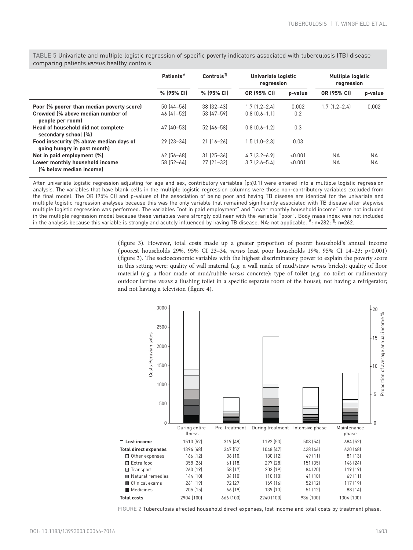|                                                                        | Patients <sup>#</sup> | Controls <sup>1</sup> | Univariate logistic<br>regression |         | <b>Multiple logistic</b><br>regression |           |
|------------------------------------------------------------------------|-----------------------|-----------------------|-----------------------------------|---------|----------------------------------------|-----------|
|                                                                        | % (95% CI)            | % (95% CI)            | OR (95% CI)                       | p-value | OR (95% CI)                            | p-value   |
| Poor (% poorer than median poverty score)                              | $50(44 - 56)$         | $38$ $[32 - 43]$      | $1.7$ $[1.2 - 2.4]$               | 0.002   | $1.7$ $[1.2 - 2.4]$                    | 0.002     |
| Crowded (% above median number of<br>people per room)                  | $46[41-52]$           | 53 (47-59)            | $0.8$ $[0.6 - 1.1]$               | 0.2     |                                        |           |
| Head of household did not complete<br>secondary school [%]             | 47 (40-53)            | 52 (46-58)            | $0.8$ $[0.6 - 1.2]$               | 0.3     |                                        |           |
| Food insecurity (% above median days of<br>going hungry in past month) | $29$ $[23-34]$        | $21 [16 - 26]$        | $1.5$ $[1.0 - 2.3]$               | 0.03    |                                        |           |
| Not in paid employment (%)                                             | $62$ (56-68)          | $31 [25 - 36]$        | $4.7$ $(3.2 - 6.9)$               | < 0.001 | <b>NA</b>                              | <b>NA</b> |
| Lower monthly household income                                         | $58(52-64)$           | $27$ $[21-32]$        | $3.7$ $(2.6 - 5.4)$               | < 0.001 | <b>NA</b>                              | <b>NA</b> |
| (% below median income)                                                |                       |                       |                                   |         |                                        |           |

<span id="page-7-0"></span>TABLE 5 Univariate and multiple logistic regression of specific poverty indicators associated with tuberculosis (TB) disease comparing patients versus healthy controls

After univariate logistic regression adjusting for age and sex, contributory variables (p≤0.1) were entered into a multiple logistic regression analysis. The variables that have blank cells in the multiple logistic regression columns were those non-contributory variables excluded from the final model. The OR (95% CI) and p-values of the association of being poor and having TB disease are identical for the univariate and multiple logistic regression analyses because this was the only variable that remained significantly associated with TB disease after stepwise multiple logistic regression was performed. The variables "not in paid employment" and "lower monthly household income" were not included in the multiple regression model because these variables were strongly collinear with the variable "poor". Body mass index was not included in the analysis because this variable is strongly and acutely influenced by having TB disease. NA: not applicable.  $^{\#}$ : n=282;  $^{\P}$ : n=262.

> [\(figure 3](#page-8-0)). However, total costs made up a greater proportion of poorer household's annual income ( poorest households 29%, 95% CI 23–34, versus least poor households 19%, 95% CI 14–23; p<0.001) [\(figure 3\)](#page-8-0). The socioeconomic variables with the highest discriminatory power to explain the poverty score in this setting were: quality of wall material (e.g. a wall made of mud/straw versus bricks); quality of floor material (e.g. a floor made of mud/rubble versus concrete); type of toilet (e.g. no toilet or rudimentary outdoor latrine versus a flushing toilet in a specific separate room of the house); not having a refrigerator; and not having a television ([figure 4](#page-8-0)).



FIGURE 2 Tuberculosis affected household direct expenses, lost income and total costs by treatment phase.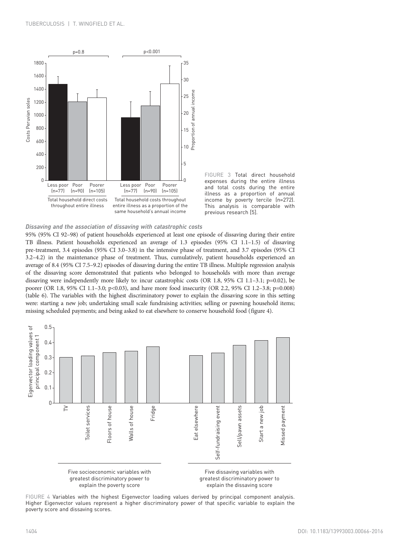<span id="page-8-0"></span>

FIGURE 3 Total direct household expenses during the entire illness and total costs during the entire illness as a proportion of annual income by poverty tercile (n=272). This analysis is comparable with previous research [\[5](#page-13-0)].

## Dissaving and the association of dissaving with catastrophic costs

95% (95% CI 92–98) of patient households experienced at least one episode of dissaving during their entire TB illness. Patient households experienced an average of 1.3 episodes (95% CI 1.1–1.5) of dissaving pre-treatment, 3.4 episodes (95% CI 3.0–3.8) in the intensive phase of treatment, and 3.7 episodes (95% CI 3.2–4.2) in the maintenance phase of treatment. Thus, cumulatively, patient households experienced an average of 8.4 (95% CI 7.5–9.2) episodes of dissaving during the entire TB illness. Multiple regression analysis of the dissaving score demonstrated that patients who belonged to households with more than average dissaving were independently more likely to: incur catastrophic costs (OR 1.8, 95% CI 1.1–3.1; p=0.02), be poorer (OR 1.8, 95% CI 1.1–3.0; p<0.03), and have more food insecurity (OR 2.2, 95% CI 1.2–3.8; p=0.008) ([table 6](#page-9-0)). The variables with the highest discriminatory power to explain the dissaving score in this setting were: starting a new job; undertaking small scale fundraising activities; selling or pawning household items; missing scheduled payments; and being asked to eat elsewhere to conserve household food (figure 4).



FIGURE 4 Variables with the highest Eigenvector loading values derived by principal component analysis. Higher Eigenvector values represent a higher discriminatory power of that specific variable to explain the poverty score and dissaving scores.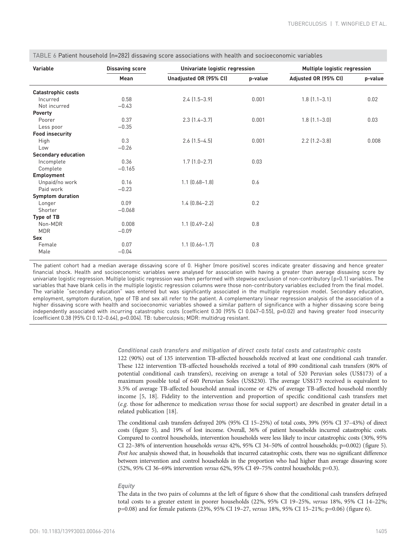| Variable                   | <b>Dissaving score</b> | Univariate logistic regression |         | Multiple logistic regression |         |
|----------------------------|------------------------|--------------------------------|---------|------------------------------|---------|
|                            | Mean                   | Unadjusted OR (95% CI)         | p-value | Adjusted OR (95% CI)         | p-value |
| Catastrophic costs         |                        |                                |         |                              |         |
| Incurred                   | 0.58                   | $2.4$ $(1.5-3.9)$              | 0.001   | $1.8$ $(1.1 - 3.1)$          | 0.02    |
| Not incurred               | $-0.43$                |                                |         |                              |         |
| Poverty                    |                        |                                |         |                              |         |
| Poorer                     | 0.37                   | $2.3$ $(1.4 - 3.7)$            | 0.001   | $1.8$ $(1.1 - 3.0)$          | 0.03    |
| Less poor                  | $-0.35$                |                                |         |                              |         |
| <b>Food insecurity</b>     |                        |                                |         |                              |         |
| High                       | 0.3                    | $2.6$ $(1.5-4.5)$              | 0.001   | $2.2$ $(1.2 - 3.8)$          | 0.008   |
| Low                        | $-0.26$                |                                |         |                              |         |
| <b>Secondary education</b> |                        |                                |         |                              |         |
| Incomplete                 | 0.36                   | $1.7$ $(1.0-2.7)$              | 0.03    |                              |         |
| Complete                   | $-0.165$               |                                |         |                              |         |
| Employment                 |                        |                                |         |                              |         |
| Unpaid/no work             | 0.16                   | $1.1$ $(0.68 - 1.8)$           | 0.6     |                              |         |
| Paid work                  | $-0.23$                |                                |         |                              |         |
| <b>Symptom duration</b>    |                        |                                |         |                              |         |
| Longer                     | 0.09                   | $1.4$ $(0.84 - 2.2)$           | 0.2     |                              |         |
| Shorter                    | $-0.068$               |                                |         |                              |         |
| Type of TB                 |                        |                                |         |                              |         |
| Non-MDR                    | 0.008                  | $1.1$ $[0.49 - 2.6]$           | 0.8     |                              |         |
| <b>MDR</b>                 | $-0.09$                |                                |         |                              |         |
| <b>Sex</b>                 |                        |                                |         |                              |         |
| Female                     | 0.07                   | $1.1$ $(0.66 - 1.7)$           | 0.8     |                              |         |
| Male                       | $-0.04$                |                                |         |                              |         |

<span id="page-9-0"></span>TABLE 6 Patient household (n=282) dissaving score associations with health and socioeconomic variables

The patient cohort had a median average dissaving score of 0. Higher (more positive) scores indicate greater dissaving and hence greater financial shock. Health and socioeconomic variables were analysed for association with having a greater than average dissaving score by univariate logistic regression. Multiple logistic regression was then performed with stepwise exclusion of non-contributory (p>0.1) variables. The variables that have blank cells in the multiple logistic regression columns were those non-contributory variables excluded from the final model. The variable "secondary education" was entered but was significantly associated in the multiple regression model. Secondary education, employment, symptom duration, type of TB and sex all refer to the patient. A complementary linear regression analysis of the association of a higher dissaving score with health and socioeconomic variables showed a similar pattern of significance with a higher dissaving score being independently associated with incurring catastrophic costs (coefficient 0.30 (95% CI 0.047-0.55), p=0.02) and having greater food insecurity (coefficient 0.38 (95% CI 0.12–0.64), p=0.004). TB: tuberculosis; MDR: multidrug resistant.

# Conditional cash transfers and mitigation of direct costs total costs and catastrophic costs

122 (90%) out of 135 intervention TB-affected households received at least one conditional cash transfer. These 122 intervention TB-affected households received a total of 890 conditional cash transfers (80% of potential conditional cash transfers), receiving on average a total of 520 Peruvian soles (US\$173) of a maximum possible total of 640 Peruvian Soles (US\$230). The average US\$173 received is equivalent to 3.5% of average TB-affected household annual income or 42% of average TB-affected household monthly income [\[5](#page-13-0), [18](#page-14-0)]. Fidelity to the intervention and proportion of specific conditional cash transfers met (e.g. those for adherence to medication versus those for social support) are described in greater detail in a related publication [[18\]](#page-14-0).

The conditional cash transfers defrayed 20% (95% CI 15–25%) of total costs, 39% (95% CI 37–43%) of direct costs [\(figure 5\)](#page-10-0), and 19% of lost income. Overall, 36% of patient households incurred catastrophic costs. Compared to control households, intervention households were less likely to incur catastrophic costs (30%, 95% CI 22–38% of intervention households versus 42%, 95% CI 34–50% of control households; p=0.002) [\(figure 5](#page-10-0)). Post hoc analysis showed that, in households that incurred catastrophic costs, there was no significant difference between intervention and control households in the proportion who had higher than average dissaving score (52%, 95% CI 36–69% intervention versus 62%, 95% CI 49–75% control households; p=0.3).

## **Equity**

The data in the two pairs of columns at the left of [figure 6](#page-10-0) show that the conditional cash transfers defrayed total costs to a greater extent in poorer households (22%, 95% CI 19–25%, versus 18%, 95% CI 14–22%; p=0.08) and for female patients (23%, 95% CI 19–27, versus 18%, 95% CI 15–21%; p=0.06) ([figure 6\)](#page-10-0).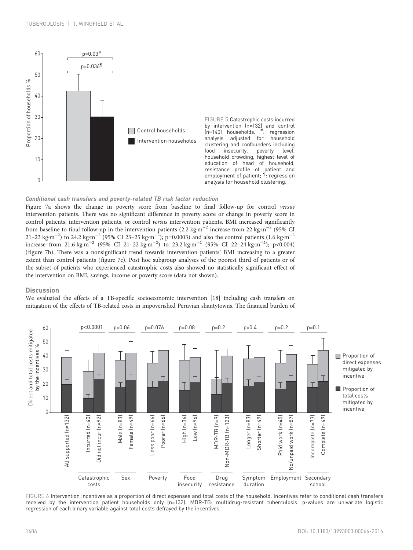<span id="page-10-0"></span>

FIGURE 5 Catastrophic costs incurred by intervention (n=132) and control  $(n=140)$  households. : regression analysis adjusted for household clustering and confounders including<br>food insecurity, poverty level, insecurity, poverty level, household crowding, highest level of education of head of household, resistance profile of patient and employment of patient; <sup>1</sup>: regression analysis for household clustering.

# Conditional cash transfers and poverty-related TB risk factor reduction

[Figure 7a](#page-11-0) shows the change in poverty score from baseline to final follow-up for control versus intervention patients. There was no significant difference in poverty score or change in poverty score in control patients, intervention patients, or control versus intervention patients. BMI increased significantly from baseline to final follow-up in the intervention patients (2.2 kg·m−<sup>2</sup> increase from 22 kg·m−<sup>2</sup> (95% CI 21–23 kg·m<sup>−2</sup>) to 24.2 kg·m<sup>−2</sup> (95% CI 23–25 kg·m<sup>−2</sup>); p=0.0003) and also the control patients (1.6 kg·m<sup>−2</sup> increase from 21.6 kg·m<sup>-2</sup> (95% CI 21-22 kg·m<sup>-2</sup>) to 23.2 kg·m<sup>-2</sup> (95% CI 22-24 kg·m<sup>-2</sup>); p<0.004) ([figure 7b\)](#page-11-0). There was a nonsignificant trend towards intervention patients' BMI increasing to a greater extent than control patients ([figure 7c\)](#page-11-0). Post hoc subgroup analyses of the poorest third of patients or of the subset of patients who experienced catastrophic costs also showed no statistically significant effect of the intervention on BMI, savings, income or poverty score (data not shown).

### **Discussion**

We evaluated the effects of a TB-specific socioeconomic intervention [\[18](#page-14-0)] including cash transfers on mitigation of the effects of TB-related costs in impoverished Peruvian shantytowns. The financial burden of



FIGURE 6 Intervention incentives as a proportion of direct expenses and total costs of the household. Incentives refer to conditional cash transfers received by the intervention patient households only (n=132). MDR-TB: multidrug-resistant tuberculosis. p-values are univariate logistic regression of each binary variable against total costs defrayed by the incentives.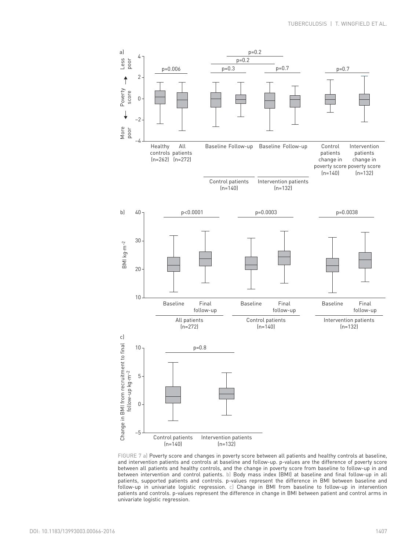<span id="page-11-0"></span>

FIGURE 7 a) Poverty score and changes in poverty score between all patients and healthy controls at baseline, and intervention patients and controls at baseline and follow-up. p-values are the difference of poverty score between all patients and healthy controls, and the change in poverty score from baseline to follow-up in and between intervention and control patients. b) Body mass index (BMI) at baseline and final follow-up in all patients, supported patients and controls. p-values represent the difference in BMI between baseline and follow-up in univariate logistic regression. c) Change in BMI from baseline to follow-up in intervention patients and controls. p-values represent the difference in change in BMI between patient and control arms in univariate logistic regression.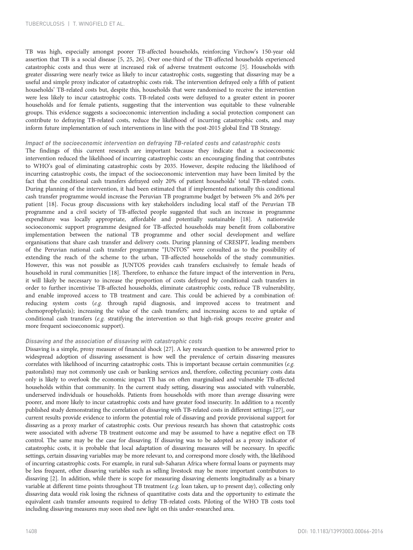TB was high, especially amongst poorer TB-affected households, reinforcing Virchow's 150-year old assertion that TB is a social disease [[5](#page-13-0), [25, 26\]](#page-14-0). Over one-third of the TB-affected households experienced catastrophic costs and thus were at increased risk of adverse treatment outcome [\[5](#page-13-0)]. Households with greater dissaving were nearly twice as likely to incur catastrophic costs, suggesting that dissaving may be a useful and simple proxy indicator of catastrophic costs risk. The intervention defrayed only a fifth of patient households' TB-related costs but, despite this, households that were randomised to receive the intervention were less likely to incur catastrophic costs. TB-related costs were defrayed to a greater extent in poorer households and for female patients, suggesting that the intervention was equitable to these vulnerable groups. This evidence suggests a socioeconomic intervention including a social protection component can contribute to defraying TB-related costs, reduce the likelihood of incurring catastrophic costs, and may inform future implementation of such interventions in line with the post-2015 global End TB Strategy.

## Impact of the socioeconomic intervention on defraying TB-related costs and catastrophic costs

The findings of this current research are important because they indicate that a socioeconomic intervention reduced the likelihood of incurring catastrophic costs: an encouraging finding that contributes to WHO's goal of eliminating catastrophic costs by 2035. However, despite reducing the likelihood of incurring catastrophic costs, the impact of the socioeconomic intervention may have been limited by the fact that the conditional cash transfers defrayed only 20% of patient households' total TB-related costs. During planning of the intervention, it had been estimated that if implemented nationally this conditional cash transfer programme would increase the Peruvian TB programme budget by between 5% and 26% per patient [[18\]](#page-14-0). Focus group discussions with key stakeholders including local staff of the Peruvian TB programme and a civil society of TB-affected people suggested that such an increase in programme expenditure was locally appropriate, affordable and potentially sustainable [[18\]](#page-14-0). A nationwide socioeconomic support programme designed for TB-affected households may benefit from collaborative implementation between the national TB programme and other social development and welfare organisations that share cash transfer and delivery costs. During planning of CRESIPT, leading members of the Peruvian national cash transfer programme "JUNTOS" were consulted as to the possibility of extending the reach of the scheme to the urban, TB-affected households of the study communities. However, this was not possible as JUNTOS provides cash transfers exclusively to female heads of household in rural communities [\[18\]](#page-14-0). Therefore, to enhance the future impact of the intervention in Peru, it will likely be necessary to increase the proportion of costs defrayed by conditional cash transfers in order to further incentivise TB-affected households, eliminate catastrophic costs, reduce TB vulnerability, and enable improved access to TB treatment and care. This could be achieved by a combination of: reducing system costs  $(e.g.$  through rapid diagnosis, and improved access to treatment and chemoprophylaxis); increasing the value of the cash transfers; and increasing access to and uptake of conditional cash transfers (e.g. stratifying the intervention so that high-risk groups receive greater and more frequent socioeconomic support).

# Dissaving and the association of dissaving with catastrophic costs

Dissaving is a simple, proxy measure of financial shock [[27](#page-14-0)]. A key research question to be answered prior to widespread adoption of dissaving assessment is how well the prevalence of certain dissaving measures correlates with likelihood of incurring catastrophic costs. This is important because certain communities (e.g. pastoralists) may not commonly use cash or banking services and, therefore, collecting pecuniary costs data only is likely to overlook the economic impact TB has on often marginalised and vulnerable TB-affected households within that community. In the current study setting, dissaving was associated with vulnerable, underserved individuals or households. Patients from households with more than average dissaving were poorer, and more likely to incur catastrophic costs and have greater food insecurity. In addition to a recently published study demonstrating the correlation of dissaving with TB-related costs in different settings [\[27](#page-14-0)], our current results provide evidence to inform the potential role of dissaving and provide provisional support for dissaving as a proxy marker of catastrophic costs. Our previous research has shown that catastrophic costs were associated with adverse TB treatment outcome and may be assumed to have a negative effect on TB control. The same may be the case for dissaving. If dissaving was to be adopted as a proxy indicator of catastrophic costs, it is probable that local adaptation of dissaving measures will be necessary. In specific settings, certain dissaving variables may be more relevant to, and correspond more closely with, the likelihood of incurring catastrophic costs. For example, in rural sub-Saharan Africa where formal loans or payments may be less frequent, other dissaving variables such as selling livestock may be more important contributors to dissaving [\[2\]](#page-13-0). In addition, while there is scope for measuring dissaving elements longitudinally as a binary variable at different time points throughout TB treatment (e.g. loan taken, up to present day), collecting only dissaving data would risk losing the richness of quantitative costs data and the opportunity to estimate the equivalent cash transfer amounts required to defray TB-related costs. Piloting of the WHO TB costs tool including dissaving measures may soon shed new light on this under-researched area.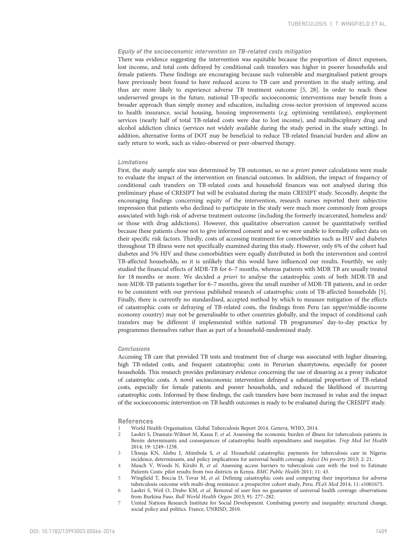# <span id="page-13-0"></span>Equity of the socioeconomic intervention on TB-related costs mitigation

There was evidence suggesting the intervention was equitable because the proportion of direct expenses, lost income, and total costs defrayed by conditional cash transfers was higher in poorer households and female patients. These findings are encouraging because such vulnerable and marginalised patient groups have previously been found to have reduced access to TB care and prevention in the study setting, and thus are more likely to experience adverse TB treatment outcome [5, [28](#page-14-0)]. In order to reach these underserved groups in the future, national TB-specific socioeconomic interventions may benefit from a broader approach than simply money and education, including cross-sector provision of improved access to health insurance, social housing, housing improvements (e.g. optimising ventilation), employment services (nearly half of total TB-related costs were due to lost income), and multidisciplinary drug and alcohol addiction clinics (services not widely available during the study period in the study setting). In addition, alternative forms of DOT may be beneficial to reduce TB-related financial burden and allow an early return to work, such as video-observed or peer-observed therapy.

#### Limitations

First, the study sample size was determined by TB outcomes, so no a priori power calculations were made to evaluate the impact of the intervention on financial outcomes. In addition, the impact of frequency of conditional cash transfers on TB-related costs and household finances was not analysed during this preliminary phase of CRESIPT but will be evaluated during the main CRESIPT study. Secondly, despite the encouraging findings concerning equity of the intervention, research nurses reported their subjective impression that patients who declined to participate in the study were much more commonly from groups associated with high-risk of adverse treatment outcome (including the formerly incarcerated, homeless and/ or those with drug addictions). However, this qualitative observation cannot be quantitatively verified because these patients chose not to give informed consent and so we were unable to formally collect data on their specific risk factors. Thirdly, costs of accessing treatment for comorbidities such as HIV and diabetes throughout TB illness were not specifically examined during this study. However, only 6% of the cohort had diabetes and 5% HIV and these comorbidities were equally distributed in both the intervention and control TB-affected households, so it is unlikely that this would have influenced our results. Fourthly, we only studied the financial effects of MDR-TB for 6–7 months, whereas patients with MDR TB are usually treated for 18 months or more. We decided a priori to analyse the catastrophic costs of both MDR-TB and non-MDR-TB patients together for 6–7 months, given the small number of MDR-TB patients, and in order to be consistent with our previous published research of catastrophic costs of TB-affected households [5]. Finally, there is currently no standardised, accepted method by which to measure mitigation of the effects of catastrophic costs or defraying of TB-related costs, the findings from Peru (an upper/middle-income economy country) may not be generalisable to other countries globally, and the impact of conditional cash transfers may be different if implemented within national TB programmes' day-to-day practice by programmes themselves rather than as part of a household-randomised study.

## Conclusions

Accessing TB care that provided TB tests and treatment free of charge was associated with higher dissaving, high TB-related costs, and frequent catastrophic costs in Peruvian shantytowns, especially for poorer households. This research provides preliminary evidence concerning the use of dissaving as a proxy indicator of catastrophic costs. A novel socioeconomic intervention defrayed a substantial proportion of TB-related costs, especially for female patients and poorer households, and reduced the likelihood of incurring catastrophic costs. Informed by these findings, the cash transfers have been increased in value and the impact of the socioeconomic intervention on TB health outcomes is ready to be evaluated during the CRESIPT study.

#### References

- 1 World Health Organisation. Global Tuberculosis Report 2014. Geneva, WHO, 2014.
- 2 Laokri S, Dramaix-Wilmet M, Kassa F, et al. Assessing the economic burden of illness for tuberculosis patients in Benin: determinants and consequences of catastrophic health expenditures and inequities. Trop Med Int Health 2014; 19: 1249–1258.
- 3 Ukwaja KN, Alobu I, Abimbola S, et al. Household catastrophic payments for tuberculosis care in Nigeria: incidence, determinants, and policy implications for universal health coverage. Infect Dis poverty 2013; 2: 21.
- 4 Mauch V, Woods N, Kirubi B, et al. Assessing access barriers to tuberculosis care with the tool to Estimate Patients Costs: pilot results from two districts in Kenya. BMC Public Health 2011; 11: 43.
- 5 Wingfield T, Boccia D, Tovar M, et al. Defining catastrophic costs and comparing their importance for adverse tuberculosis outcome with multi-drug resistance: a prospective cohort study, Peru. PLoS Med 2014; 11: e1001675.
- 6 Laokri S, Weil O, Drabo KM, et al. Removal of user fees no guarantee of universal health coverage: observations from Burkina Faso. Bull World Health Organ 2013; 91: 277–282.
- 7 United Nations Research Institute for Social Development. Combating poverty and inequality: structural change, social policy and politics. France, UNRISD, 2010.